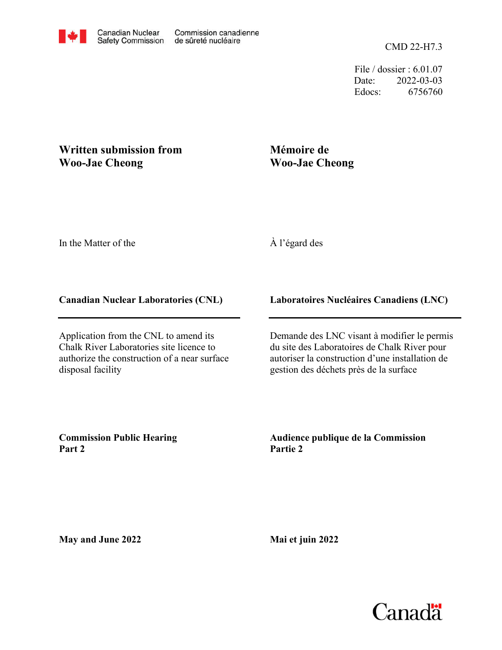CMD 22-H7.3

File / dossier : 6.01.07 Date: 2022-03-03 Edocs: 6756760

# **Written submission from Woo-Jae Cheong**

# **Mémoire de Woo-Jae Cheong**

In the Matter of the

## À l'égard des

## **Canadian Nuclear Laboratories (CNL)**

Application from the CNL to amend its Chalk River Laboratories site licence to authorize the construction of a near surface disposal facility

### **Laboratoires Nucléaires Canadiens (LNC)**

Demande des LNC visant à modifier le permis du site des Laboratoires de Chalk River pour autoriser la construction d'une installation de gestion des déchets près de la surface

**Commission Public Hearing Part 2**

**Audience publique de la Commission Partie 2**

**May and June 2022**

**Mai et juin 2022**